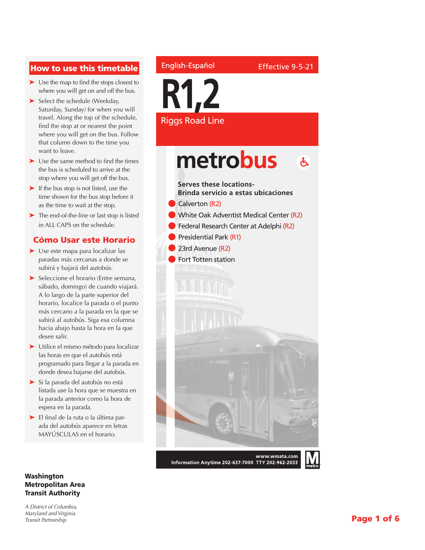### How to use this timetable

- ➤ Use the map to find the stops closest to where you will get on and off the bus.
- ➤ Select the schedule (Weekday, Saturday, Sunday) for when you will travel. Along the top of the schedule, find the stop at or nearest the point where you will get on the bus. Follow that column down to the time you want to leave.
- ➤ Use the same method to find the times the bus is scheduled to arrive at the stop where you will get off the bus.
- ➤ If the bus stop is not listed, use the time shown for the bus stop before it as the time to wait at the stop.
- ➤ The end-of-the-line or last stop is listed in ALL CAPS on the schedule.

### Cómo Usar este Horario

- ➤ Use este mapa para localizar las paradas más cercanas a donde se subirá y bajará del autobús.
- ➤ Seleccione el horario (Entre semana, sábado, domingo) de cuando viajará. A lo largo de la parte superior del horario, localice la parada o el punto más cercano a la parada en la que se subirá al autobús. Siga esa columna hacia abajo hasta la hora en la que desee salir.
- ➤ Utilice el mismo método para localizar las horas en que el autobús está programado para llegar a la parada en donde desea bajarse del autobús.
- ➤ Si la parada del autobús no está listada use la hora que se muestra en la parada anterior como la hora de espera en la parada.
- ➤ El final de la ruta o la última parada del autobús aparece en letras MAYÚSCULAS en el horario.

### Washington Metropolitan Area Transit Authority

*A District of Columbia, Maryland and Virginia Transit Partnership*

### English-Español

**R1,2** Riggs Road Line

### metrobus  $\mathbf{A}$

### **Serves these locations-**

**Brinda servicio a estas ubicaciones**



- **White Oak Adventist Medical Center (R2)**
- l Federal Research Center at Adelphi (R2)
- Presidential Park (R1)
- 23rd Avenue (R2)
- Fort Totten station



www.wmata.com Information Anytime 202-637-7000 TTY 202-962-2033

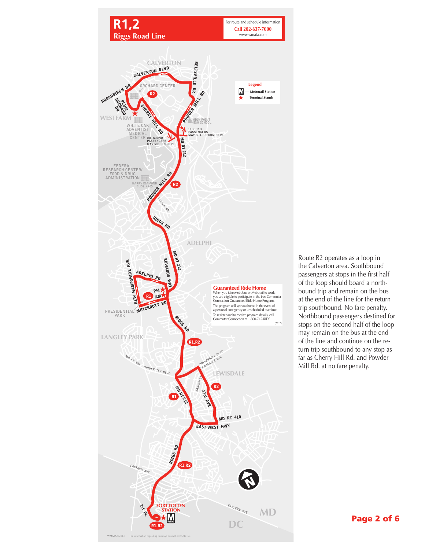

Route R2 operates as a loop in the Calverton area. Southbound passengers at stops in the first half of the loop should board a northbound trip and remain on the bus at the end of the line for the return trip southbound. No fare penalty. Northbound passengers destined for stops on the second half of the loop may remain on the bus at the end of the line and continue on the return trip southbound to any stop as far as Cherry Hill Rd. and Powder Mill Rd. at no fare penalty.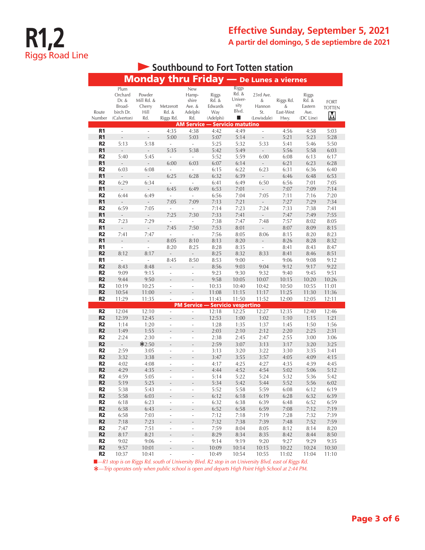| Southbound to Fort Totten station |                                                                |                                               |                                 |                                                   |                                                      |                                                        |                                                |                                     |                                                |                                                         |  |
|-----------------------------------|----------------------------------------------------------------|-----------------------------------------------|---------------------------------|---------------------------------------------------|------------------------------------------------------|--------------------------------------------------------|------------------------------------------------|-------------------------------------|------------------------------------------------|---------------------------------------------------------|--|
|                                   |                                                                |                                               |                                 |                                                   |                                                      |                                                        | <b>Monday thru Friday</b> - De Lunes a viernes |                                     |                                                |                                                         |  |
| Route<br>Number                   | Plum<br>Orchard<br>Dr. &<br>Broad-<br>birch Dr.<br>(Calverton) | Powder<br>Mill Rd. &<br>Cherry<br>Hill<br>Rd. | Metzerott<br>Rd. &<br>Riggs Rd. | New<br>Hamp-<br>shire<br>Ave. &<br>Adelphi<br>Rd. | <b>Riggs</b><br>Rd. &<br>Edwards<br>Way<br>(Adelphi) | <b>Riggs</b><br>Rd. &<br>Univer-<br>sity<br>Blvd.<br>ш | 23rd Ave.<br>&<br>Hannon<br>St.<br>(Lewisdale) | Riggs Rd.<br>&<br>East-West<br>Hwy. | Riggs<br>Rd. &<br>Eastern<br>Ave.<br>(DC Line) | <b>FORT</b><br><b>TOTTEN</b><br>$\overline{\mathsf{M}}$ |  |
|                                   |                                                                |                                               |                                 |                                                   | <b>AM Service - Servicio matutino</b>                |                                                        |                                                |                                     |                                                |                                                         |  |
| R1<br>R <sub>1</sub>              | ÷,<br>Ĭ.                                                       | ÷,                                            | 4:35<br>5:00                    | 4:38<br>5:03                                      | 4:42<br>5:07                                         | 4:49<br>5:14                                           | ÷,                                             | 4:56<br>5:21                        | 4:58<br>5:23                                   | 5:03<br>5:28                                            |  |
| R <sub>2</sub>                    | 5:13                                                           | 5:18                                          | ÷,                              | $\bar{\phantom{a}}$                               | 5:25                                                 | 5:32                                                   | 5:33                                           | 5:41                                | 5:46                                           | 5:50                                                    |  |
| R <sub>1</sub><br>R <sub>2</sub>  | 5:40                                                           | 5:45                                          | 5:35<br>L.                      | 5:38<br>ä,                                        | 5:42<br>5:52                                         | 5:49<br>5:59                                           | 6:00                                           | 5:56                                | 5:58<br>6:13                                   | 6:03<br>6:17                                            |  |
| R <sub>1</sub>                    | $\overline{a}$                                                 | $\frac{1}{2}$                                 | 6:00                            | 6:03                                              | 6:07                                                 | 6:14                                                   | $\overline{\phantom{0}}$                       | 6:08<br>6:21                        | 6:23                                           | 6:28                                                    |  |
| R <sub>2</sub>                    | 6:03                                                           | 6:08                                          |                                 | $\overline{\phantom{a}}$                          | 6:15                                                 | 6:22                                                   | 6:23                                           | 6:31                                | 6:36                                           | 6:40                                                    |  |
| R <sub>1</sub>                    | $\overline{a}$                                                 | $\label{eq:reduced}$                          | 6:25                            | 6:28                                              | 6:32                                                 | 6:39                                                   | ÷,                                             | 6:46                                | 6:48                                           | 6:53                                                    |  |
| R <sub>2</sub>                    | 6:29                                                           | 6:34                                          | i,                              | $\overline{\phantom{a}}$                          | 6:41                                                 | 6:49                                                   | 6:50                                           | 6:56                                | 7:01                                           | 7:05                                                    |  |
| R <sub>1</sub>                    |                                                                | $\overline{a}$                                | 6:45                            | 6:49                                              | 6:53                                                 | 7:01                                                   | $\overline{a}$                                 | 7:07                                | 7:09                                           | 7:14                                                    |  |
| R <sub>2</sub>                    | 6:44                                                           | 6:49                                          |                                 | $\overline{a}$                                    | 6:56                                                 | 7:04                                                   | 7:05                                           | 7:11                                | 7:16                                           | 7:20                                                    |  |
| R <sub>1</sub>                    |                                                                | Ĭ.                                            | 7:05                            | 7:09                                              | 7:13                                                 | 7:21                                                   |                                                | 7:27                                | 7:29                                           | 7:34                                                    |  |
| R <sub>2</sub>                    | 6:59                                                           | 7:05                                          | i,                              | L                                                 | 7:14                                                 | 7:23                                                   | 7:24                                           | 7:33                                | 7:38                                           | 7:41                                                    |  |
| R <sub>1</sub>                    |                                                                | ÷,                                            | 7:25                            | 7:30                                              | 7:33                                                 | 7:41                                                   |                                                | 7:47                                | 7:49                                           | 7:55                                                    |  |
| R <sub>2</sub>                    | 7:23                                                           | 7:29                                          |                                 |                                                   | 7:38                                                 | 7:47                                                   | 7:48                                           | 7:57                                | 8:02                                           | 8:05                                                    |  |
| R <sub>1</sub>                    | $\overline{a}$                                                 | $\overline{\phantom{0}}$                      | 7:45                            | 7:50                                              | 7:53                                                 | 8:01                                                   | $\overline{a}$                                 | 8:07                                | 8:09                                           | 8:15                                                    |  |
| R <sub>2</sub>                    | 7:41                                                           | 7:47                                          |                                 | $\overline{a}$                                    | 7:56                                                 | 8:05                                                   | 8:06                                           | 8:15                                | 8:20                                           | 8:23                                                    |  |
| R <sub>1</sub>                    | $\frac{1}{2}$                                                  | $\overline{\phantom{a}}$                      | 8:05                            | 8:10                                              | 8:13                                                 | 8:20                                                   | $\overline{a}$                                 | 8:26                                | 8:28                                           | 8:32                                                    |  |
| R1                                |                                                                |                                               | 8:20                            | 8:25                                              | 8:28                                                 | 8:35                                                   | $\overline{a}$                                 | 8:41                                | 8:43                                           | 8:47                                                    |  |
| R <sub>2</sub><br>R <sub>1</sub>  | 8:12                                                           | 8:17<br>÷,                                    |                                 |                                                   | 8:25<br>8:53                                         | 8:32<br>9:00                                           | 8:33<br>÷,                                     | 8:41<br>9:06                        | 8:46                                           | 8:51                                                    |  |
| R <sub>2</sub>                    | 8:43                                                           | 8:48                                          | 8:45                            | 8:50                                              | 8:56                                                 | 9:03                                                   | 9:04                                           | 9:12                                | 9:08<br>9:17                                   | 9:12<br>9:22                                            |  |
| R2                                | 9:09                                                           | 9:15                                          |                                 |                                                   | 9:23                                                 | 9:30                                                   | 9:32                                           | 9:40                                | 9:45                                           | 9:51                                                    |  |
| R <sub>2</sub>                    | 9:44                                                           | 9:50                                          |                                 |                                                   | 9:58                                                 | 10:05                                                  | 10:07                                          | 10:15                               | 10:20                                          | 10:26                                                   |  |
| R <sub>2</sub>                    | 10:19                                                          | 10:25                                         |                                 | ÷,                                                | 10:33                                                | 10:40                                                  | 10:42                                          | 10:50                               | 10:55                                          | 11:01                                                   |  |
| R <sub>2</sub>                    | 10:54                                                          | 11:00                                         |                                 | $\overline{a}$                                    | 11:08                                                | 11:15                                                  | 11:17                                          | 11:25                               | 11:30                                          | 11:36                                                   |  |
| R2                                | 11:29                                                          | 11:35                                         |                                 |                                                   | 11:43                                                | 11:50                                                  | 11:52                                          | 12:00                               | 12:05                                          | 12:11                                                   |  |
|                                   |                                                                |                                               |                                 |                                                   | <b>PM Service - Servicio vespertino</b>              |                                                        |                                                |                                     |                                                |                                                         |  |
| R <sub>2</sub>                    | 12:04                                                          | 12:10                                         | ÷,                              | $\overline{\phantom{a}}$                          | 12:18                                                | 12:25                                                  | 12:27                                          | 12:35                               | 12:40                                          | 12:46                                                   |  |
| R <sub>2</sub>                    | 12:39                                                          | 12:45                                         |                                 |                                                   | 12:53                                                | 1:00                                                   | 1:02                                           | 1:10                                | 1:15                                           | 1:21                                                    |  |
| R <sub>2</sub>                    | 1:14                                                           | 1:20                                          | i,                              | ÷,                                                | 1:28                                                 | 1:35                                                   | 1:37                                           | 1:45                                | 1:50                                           | 1:56                                                    |  |
| R <sub>2</sub>                    | 1:49                                                           | 1:55                                          |                                 | $\overline{a}$                                    | 2:03                                                 | 2:10                                                   | 2:12                                           | 2:20                                | 2:25                                           | 2:31                                                    |  |
| R2                                | 2:24                                                           | 2:30                                          | ÷,                              | ÷,                                                | 2:38                                                 | 2:45                                                   | 2:47                                           | 2:55                                | 3:00                                           | 3:06                                                    |  |
| R <sub>2</sub>                    | $\overline{a}$                                                 | $*2:50$                                       |                                 |                                                   | 2:59                                                 | 3:07                                                   | 3:13                                           | 3:17                                | 3:20                                           | 3:25                                                    |  |
| R <sub>2</sub><br>R <sub>2</sub>  | 2:59                                                           | 3:05                                          | L,                              | ÷,<br>L.                                          | 3:13                                                 | 3:20<br>3:55                                           | 3:22                                           | 3:30                                | 3:35                                           | 3:41                                                    |  |
| R <sub>2</sub>                    | 3:32<br>4:02                                                   | 3:38<br>4:08                                  |                                 |                                                   | 3:47<br>4:17                                         | 4:25                                                   | 3:57<br>4:27                                   | 4:05<br>4:35                        | 4:09<br>4:39                                   | 4:15<br>4:45                                            |  |
| R <sub>2</sub>                    | 4:29                                                           | 4:35                                          |                                 |                                                   | 4:44                                                 | 4:52                                                   | 4:54                                           | 5:02                                | 5:06                                           | 5:12                                                    |  |
| R <sub>2</sub>                    | 4:59                                                           | 5:05                                          |                                 |                                                   | 5:14                                                 | 5:22                                                   | 5:24                                           | 5:32                                | 5:36                                           | 5:42                                                    |  |
| R <sub>2</sub>                    | 5:19                                                           | 5:25                                          |                                 |                                                   | 5:34                                                 | 5:42                                                   | 5:44                                           | 5:52                                | 5:56                                           | 6:02                                                    |  |
| R <sub>2</sub>                    | 5:38                                                           | 5:43                                          | ÷,                              | $\frac{1}{2}$                                     | 5:52                                                 | 5:58                                                   | 5:59                                           | 6:08                                | 6:12                                           | 6:19                                                    |  |
| R <sub>2</sub>                    | 5:58                                                           | 6:03                                          |                                 |                                                   | 6:12                                                 | 6:18                                                   | 6:19                                           | 6:28                                | 6:32                                           | 6:39                                                    |  |
| R <sub>2</sub>                    | 6:18                                                           | 6:23                                          | ÷,                              | $\frac{1}{2}$                                     | 6:32                                                 | 6:38                                                   | 6:39                                           | 6:48                                | 6:52                                           | 6:59                                                    |  |
| R <sub>2</sub>                    | 6:38                                                           | 6:43                                          |                                 | $\overline{\phantom{m}}$                          | 6:52                                                 | 6:58                                                   | 6:59                                           | 7:08                                | 7:12                                           | 7:19                                                    |  |
| R <sub>2</sub>                    | 6:58                                                           | 7:03                                          | ÷,                              | L,                                                | 7:12                                                 | 7:18                                                   | 7:19                                           | 7:28                                | 7:32                                           | 7:39                                                    |  |
| R <sub>2</sub>                    | 7:18                                                           | 7:23                                          |                                 | $\frac{1}{2}$                                     | 7:32                                                 | 7:38                                                   | 7:39                                           | 7:48                                | 7:52                                           | 7:59                                                    |  |
| R <sub>2</sub>                    | 7:47                                                           | 7:51                                          | ÷,                              | $\overline{\phantom{a}}$                          | 7:59                                                 | 8:04                                                   | 8:05                                           | 8:12                                | 8:14                                           | 8:20                                                    |  |
| R <sub>2</sub>                    | 8:17                                                           | 8:21                                          |                                 | $\overline{\phantom{a}}$                          | 8:29                                                 | 8:34                                                   | 8:35                                           | 8:42                                | 8:44                                           | 8:50                                                    |  |
| R <sub>2</sub>                    | 9:02                                                           | 9:06                                          | ÷                               | $\overline{\phantom{a}}$                          | 9:14                                                 | 9:19                                                   | 9:20                                           | 9:27                                | 9:29                                           | 9:35                                                    |  |
| R <sub>2</sub><br>R <sub>2</sub>  | 9:57<br>10:37                                                  | 10:01<br>10:41                                |                                 | L,                                                | 10:09<br>10:49                                       | 10:14<br>10:54                                         | 10:15<br>10:55                                 | 10:22<br>11:02                      | 10:24<br>11:04                                 | 10:30<br>11:10                                          |  |

■<sup>*-R1 stop is on Riggs Rd. south of University Blvd. R2 stop in on University Blvd. east of Riggs Rd.*</sup>

**\****—Trip operates only when public school is open and departs High Point High School at 2:44 PM.*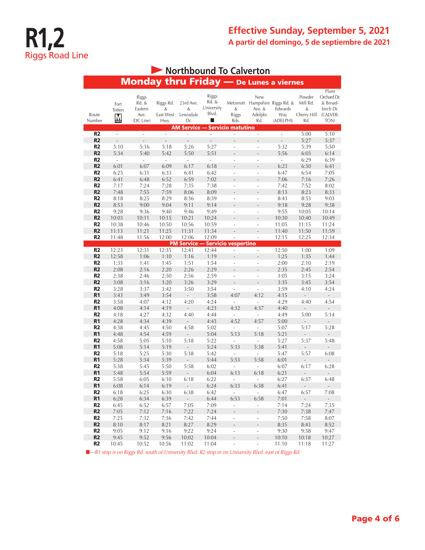# **R1,2** Riggs Road Line

| Northbound To Calverton          |                                            |                                                |                                     |                                         |                                       |                                                      |                                                                           |                                  |                                               |                                                                  |  |
|----------------------------------|--------------------------------------------|------------------------------------------------|-------------------------------------|-----------------------------------------|---------------------------------------|------------------------------------------------------|---------------------------------------------------------------------------|----------------------------------|-----------------------------------------------|------------------------------------------------------------------|--|
|                                  |                                            | <b>Monday thru Friday</b> - De Lunes a viernes |                                     |                                         |                                       |                                                      |                                                                           |                                  |                                               |                                                                  |  |
| Route<br>Number                  | Fort<br>Totten<br>$\underline{\mathsf{M}}$ | Riggs<br>Rd. &<br>Eastern<br>Ave.<br>(DC Line) | Riggs Rd.<br>&<br>East-West<br>Hwy. | 23rd Ave.<br>&<br>Lewisdale<br>Dr.      | Riggs<br>Rd. &<br>University<br>Blvd. | &<br>Riggs<br>Rds.                                   | <b>New</b><br>Metzerott Hampshire Riggs Rd. &<br>Ave. &<br>Adelphi<br>Rd. | Edwards<br>Way<br>(ADELPHI)      | Powder<br>Mill Rd.<br>&<br>Cherry Hill<br>Rd. | Plum<br>Orchard Dr.<br>& Broad-<br>birch Dr.<br>(CALVER-<br>TON) |  |
|                                  |                                            |                                                |                                     | <b>AM Service -</b>                     |                                       | <b>Servicio matutino</b>                             |                                                                           |                                  |                                               |                                                                  |  |
| R <sub>2</sub>                   | L.                                         | L,                                             | L.                                  | ÷,                                      | ÷,                                    | ä,                                                   | $\overline{a}$                                                            | $\overline{a}$                   | 5:00                                          | 5:10                                                             |  |
| R <sub>2</sub>                   | $\frac{1}{2}$                              | Ĭ.                                             | $\overline{a}$                      | $\overline{a}$                          | $\overline{a}$                        | L.                                                   | ÷,                                                                        | $\overline{\phantom{a}}$         | 5:27                                          | 5:37                                                             |  |
| R <sub>2</sub>                   | 5:10                                       | 5:16                                           | 5:18                                | 5:26                                    | 5:27                                  | ÷,                                                   |                                                                           | 5:32                             | 5:39                                          | 5:50                                                             |  |
| R <sub>2</sub><br>R <sub>2</sub> | 5:34<br>÷,                                 | 5:40<br>÷,                                     | 5:42<br>$\frac{1}{2}$               | 5:50<br>i,                              | 5:51<br>÷,                            | ÷,                                                   | ٠                                                                         | 5:56<br>$\overline{\phantom{a}}$ | 6:03<br>6:29                                  | 6:14<br>6:39                                                     |  |
| R <sub>2</sub>                   | 6:01                                       | 6:07                                           | 6:09                                | 6:17                                    | 6:18                                  | $\overline{a}$                                       | $\overline{\phantom{a}}$                                                  | 6:23                             | 6:30                                          | 6:41                                                             |  |
| R <sub>2</sub>                   | 6:25                                       | 6:31                                           | 6:33                                | 6:41                                    | 6:42                                  | L.                                                   | L.                                                                        | 6:47                             | 6:54                                          | 7:05                                                             |  |
| R <sub>2</sub>                   | 6:41                                       | 6:48                                           | 6:52                                | 6:59                                    | 7:02                                  |                                                      |                                                                           | 7:06                             | 7:16                                          | 7:26                                                             |  |
| R <sub>2</sub>                   | 7:17                                       | 7:24                                           | 7:28                                | 7:35                                    | 7:38                                  | ÷,                                                   | ÷,                                                                        | 7:42                             | 7:52                                          | 8:02                                                             |  |
| R <sub>2</sub>                   | 7:48                                       | 7:55                                           | 7:59                                | 8:06                                    | 8:09                                  |                                                      |                                                                           | 8:13                             | 8:23                                          | 8:33                                                             |  |
| R <sub>2</sub>                   | 8:18                                       | 8:25                                           | 8:29                                | 8:36                                    | 8:39                                  | ÷,                                                   | $\overline{a}$                                                            | 8:43                             | 8:53                                          | 9:03                                                             |  |
| R <sub>2</sub>                   | 8:53                                       | 9:00                                           | 9:04                                | 9:11                                    | 9:14                                  | L.                                                   |                                                                           | 9:18                             | 9:28                                          | 9:38                                                             |  |
| R <sub>2</sub>                   | 9:28                                       | 9:36                                           | 9:40                                | 9:46                                    | 9:49                                  | ÷,                                                   | ÷                                                                         | 9:55                             | 10:05                                         | 10:14                                                            |  |
| R <sub>2</sub>                   | 10:03                                      | 10:11                                          | 10:15                               | 10:21                                   | 10:24                                 |                                                      |                                                                           | 10:30                            | 10:40                                         | 10:49                                                            |  |
| R <sub>2</sub>                   | 10:38                                      | 10:46                                          | 10:50                               | 10:56                                   | 10:59                                 | ä,                                                   | ä,                                                                        | 11:05                            | 11:15                                         | 11:24                                                            |  |
| R <sub>2</sub>                   | 11:13                                      | 11:21                                          | 11:25                               | 11:31                                   | 11:34                                 |                                                      |                                                                           | 11:40                            | 11:50                                         | 11:59                                                            |  |
| R <sub>2</sub>                   | 11:48                                      | 11:56                                          | 12:00                               | 12:06                                   | 12:09                                 | $\overline{a}$                                       | ÷,                                                                        | 12:15                            | 12:25                                         | 12:34                                                            |  |
|                                  |                                            |                                                |                                     | <b>PM Service - Servicio vespertino</b> |                                       |                                                      |                                                                           |                                  |                                               |                                                                  |  |
| R <sub>2</sub><br>R <sub>2</sub> | 12:23                                      | 12:31                                          | 12:35                               | 12:41                                   | 12:44                                 | $\overline{\phantom{a}}$                             | ÷,                                                                        | 12:50                            | 1:00                                          | 1:09                                                             |  |
| R <sub>2</sub>                   | 12:58<br>1:33                              | 1:06<br>1:41                                   | 1:10<br>1:45                        | 1:16<br>1:51                            | 1:19<br>1:54                          | ÷,                                                   | L,                                                                        | 1:25<br>2:00                     | 1:35<br>2:10                                  | 1:44<br>2:19                                                     |  |
| R <sub>2</sub>                   | 2:08                                       | 2:16                                           | 2:20                                | 2:26                                    | 2:29                                  |                                                      |                                                                           | 2:35                             | 2:45                                          | 2:54                                                             |  |
| R <sub>2</sub>                   | 2:38                                       | 2:46                                           | 2:50                                | 2:56                                    | 2:59                                  | ÷,                                                   | L,                                                                        | 3:05                             | 3:15                                          | 3:24                                                             |  |
| R <sub>2</sub>                   | 3:08                                       | 3:16                                           | 3:20                                | 3:26                                    | 3:29                                  |                                                      |                                                                           | 3:35                             | 3:45                                          | 3:54                                                             |  |
| R <sub>2</sub>                   | 3:28                                       | 3:37                                           | 3:42                                | 3:50                                    | 3:54                                  |                                                      |                                                                           | 3:59                             | 4:10                                          | 4:24                                                             |  |
| R <sub>1</sub>                   | 3:43                                       | 3:49                                           | 3:54                                | $\overline{\phantom{a}}$                | 3:58                                  | 4:07                                                 | 4:12                                                                      | 4:15                             | $\bar{\phantom{a}}$                           | $\mathbb{Z}^2$                                                   |  |
| R <sub>2</sub>                   | 3:58                                       | 4:07                                           | 4:12                                | 4:20                                    | 4:24                                  | ÷,                                                   | J.                                                                        | 4:29                             | 4:40                                          | 4:54                                                             |  |
| R <sub>1</sub>                   | 4:08                                       | 4:14                                           | 4:19                                |                                         | 4:23                                  | 4:32                                                 | 4:37                                                                      | 4:40                             |                                               |                                                                  |  |
| R <sub>2</sub>                   | 4:18                                       | 4:27                                           | 4:32                                | 4:40                                    | 4:44                                  | ÷,                                                   |                                                                           | 4:49                             | 5:00                                          | 5:14                                                             |  |
| R <sub>1</sub>                   | 4:28                                       | 4:34                                           | 4:39                                |                                         | 4:43                                  | 4:52                                                 | 4:57                                                                      | 5:00                             |                                               |                                                                  |  |
| R <sub>2</sub>                   | 4:38                                       | 4:45                                           | 4:50                                | 4:58                                    | 5:02                                  | L.                                                   |                                                                           | 5:07                             | 5:17                                          | 5:28                                                             |  |
| R <sub>1</sub>                   | 4:48                                       | 4:54                                           | 4:59                                | $\blacksquare$                          | 5:04                                  | 5:13                                                 | 5:18                                                                      | 5:21                             | $\overline{\phantom{a}}$                      | $\overline{a}$                                                   |  |
| R <sub>2</sub><br>R <sub>1</sub> | 4:58<br>5:08                               | 5:05<br>5:14                                   | 5:10<br>5:19                        | 5:18                                    | 5:22                                  | $\overline{a}$<br>5:33                               | 5:38                                                                      | 5:27                             | 5:37                                          | 5:48<br>$\overline{a}$                                           |  |
| R <sub>2</sub>                   | 5:18                                       | 5:25                                           | 5:30                                | $\overline{a}$<br>5:38                  | 5:24<br>5:42                          | ÷,                                                   | ÷,                                                                        | 5:41<br>5:47                     | 5:57                                          | 6:08                                                             |  |
| R <sub>1</sub>                   | 5:28                                       | 5:34                                           | 5:39                                | $\overline{a}$                          | 5:44                                  | 5:53                                                 | 5:58                                                                      | 6:01                             |                                               |                                                                  |  |
| R <sub>2</sub>                   | 5:38                                       | 5:45                                           | 5:50                                | 5:58                                    | 6:02                                  | ÷,                                                   |                                                                           | 6:07                             | 6:17                                          | 6:28                                                             |  |
| R <sub>1</sub>                   | 5:48                                       | 5:54                                           | 5:59                                | $\overline{\phantom{a}}$                | 6:04                                  | 6:13                                                 | 6:18                                                                      | 6:21                             | $\qquad \qquad -$                             | $\qquad \qquad \blacksquare$                                     |  |
| R <sub>2</sub>                   | 5:58                                       | 6:05                                           | 6:10                                | 6:18                                    | 6:22                                  | ä,                                                   | $\mathbb{Z}^2$                                                            | 6:27                             | 6:37                                          | 6:48                                                             |  |
| R <sub>1</sub>                   | 6:08                                       | 6:14                                           | 6:19                                | $\sim$                                  | 6:24                                  | 6:33                                                 | 6:38                                                                      | 6:41                             | $\sim$                                        | $\omega_{\rm{eff}}$                                              |  |
| R <sub>2</sub>                   | 6:18                                       | 6:25                                           | 6:30                                | 6:38                                    | 6:42                                  | L,                                                   | L,                                                                        | 6:47                             | 6:57                                          | 7:08                                                             |  |
| R <sub>1</sub>                   | 6:28                                       | 6:34                                           | 6:39                                | $\omega_{\rm c}$                        | 6:44                                  | 6:53                                                 | 6:58                                                                      | 7:01                             | $\sim$                                        | $\sim$                                                           |  |
| R <sub>2</sub>                   | 6:45                                       | 6:52                                           | 6:57                                | 7:05                                    | 7:09                                  | ÷,                                                   | ÷,                                                                        | 7:14                             | 7:24                                          | 7:35                                                             |  |
| R <sub>2</sub>                   | 7:05                                       | 7:12                                           | 7:16                                | 7:22                                    | 7:24                                  | $\frac{1}{2}$                                        | ÷,                                                                        | 7:30                             | 7:38                                          | 7:47                                                             |  |
| R <sub>2</sub>                   | 7:25                                       | 7:32                                           | 7:36                                | 7:42                                    | 7:44                                  | ä,                                                   | ÷,                                                                        | 7:50                             | 7:58                                          | 8:07                                                             |  |
| R <sub>2</sub>                   | 8:10                                       | 8:17                                           | 8:21                                | 8:27                                    | 8:29                                  | $\overline{\phantom{a}}$                             | $\overline{\phantom{m}}$                                                  | 8:35                             | 8:43                                          | 8:52                                                             |  |
| R <sub>2</sub>                   | 9:05                                       | 9:12                                           | 9:16                                | 9:22                                    | 9:24                                  | ÷,                                                   | ÷,                                                                        | 9:30                             | 9:38                                          | 9:47                                                             |  |
| R <sub>2</sub><br>R <sub>2</sub> | 9:45<br>10:45                              | 9:52<br>10:52                                  | 9:56<br>10:56                       | 10:02<br>11:02                          | 10:04<br>11:04                        | $\overline{\phantom{a}}$<br>$\overline{\phantom{a}}$ | $\overline{\phantom{0}}$<br>÷,                                            | 10:10<br>11:10                   | 10:18<br>11:18                                | 10:27<br>11:27                                                   |  |
|                                  |                                            |                                                |                                     |                                         |                                       |                                                      |                                                                           |                                  |                                               |                                                                  |  |

**n**<sup>*-R1*</sup> stop is on Riggs Rd. south of University Blvd. R2 stop in on University Blvd. east of Riggs Rd.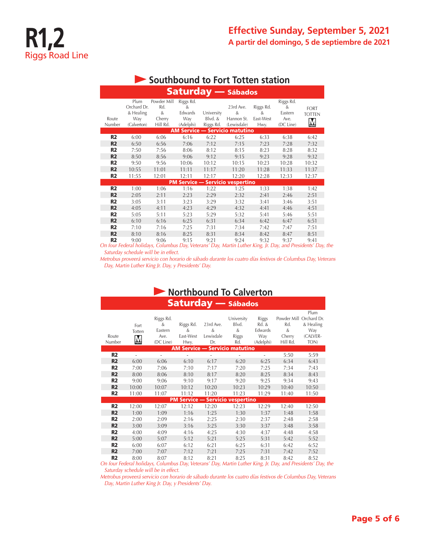| <b>Saturday - Sábados</b> |                                                        |                                               |                                               |                                    |                                             |                                     |                                                |                                                         |  |  |  |  |
|---------------------------|--------------------------------------------------------|-----------------------------------------------|-----------------------------------------------|------------------------------------|---------------------------------------------|-------------------------------------|------------------------------------------------|---------------------------------------------------------|--|--|--|--|
| Route<br>Number           | Plum<br>Orchard Dr.<br>& Healing<br>Way<br>(Calverton) | Powder Mill<br>Rd.<br>&<br>Cherry<br>Hill Rd. | Riggs Rd.<br>&<br>Edwards<br>Way<br>(Adelphi) | University<br>Blvd. &<br>Riggs Rd. | 23rd Ave.<br>&<br>Hannon St.<br>(Lewisdale) | Riggs Rd.<br>&<br>East-West<br>Hwy. | Riggs Rd.<br>&<br>Eastern<br>Ave.<br>(DC Line) | <b>FORT</b><br><b>TOTTEN</b><br>$\overline{\mathsf{M}}$ |  |  |  |  |
|                           | <b>AM Service - Servicio matutino</b>                  |                                               |                                               |                                    |                                             |                                     |                                                |                                                         |  |  |  |  |
| R2                        | 6:00                                                   | 6:06                                          | 6:16                                          | 6:22                               | 6:25                                        | 6:33                                | 6:38                                           | 6:42                                                    |  |  |  |  |
| R <sub>2</sub>            | 6:50                                                   | 6:56                                          | 7:06                                          | 7:12                               | 7:15                                        | 7:23                                | 7:28                                           | 7:32                                                    |  |  |  |  |
| R2                        | 7:50                                                   | 7:56                                          | 8:06                                          | 8:12                               | 8:15                                        | 8:23                                | 8:28                                           | 8:32                                                    |  |  |  |  |
| R <sub>2</sub>            | 8:50                                                   | 8:56                                          | 9:06                                          | 9:12                               | 9:15                                        | 9:23                                | 9:28                                           | 9:32                                                    |  |  |  |  |
| R2                        | 9:50                                                   | 9:56                                          | 10:06                                         | 10:12                              | 10:15                                       | 10:23                               | 10:28                                          | 10:32                                                   |  |  |  |  |
| R <sub>2</sub>            | 10:55                                                  | 11:01                                         | 11:11                                         | 11:17                              | 11:20                                       | 11:28                               | 11:33                                          | 11:37                                                   |  |  |  |  |
| R <sub>2</sub>            | 11:55                                                  | 12:01                                         | 12:11                                         | 12:17                              | 12:20                                       | 12:28                               | 12:33                                          | 12:37                                                   |  |  |  |  |
|                           |                                                        |                                               |                                               |                                    | <b>PM Service - Servicio vespertino</b>     |                                     |                                                |                                                         |  |  |  |  |
| R <sub>2</sub>            | 1:00                                                   | 1:06                                          | 1:16                                          | 1:22                               | 1:25                                        | 1:33                                | 1:38                                           | 1:42                                                    |  |  |  |  |
| R <sub>2</sub>            | 2:05                                                   | 2:11                                          | 2:23                                          | 2:29                               | 2:32                                        | 2:41                                | 2:46                                           | 2:51                                                    |  |  |  |  |
| R <sub>2</sub>            | 3:05                                                   | 3:11                                          | 3:23                                          | 3:29                               | 3:32                                        | 3:41                                | 3:46                                           | 3:51                                                    |  |  |  |  |
| R <sub>2</sub>            | 4:05                                                   | 4:11                                          | 4:23                                          | 4:29                               | 4:32                                        | 4:41                                | 4:46                                           | 4:51                                                    |  |  |  |  |
| R <sub>2</sub>            | 5:05                                                   | 5:11                                          | 5:23                                          | 5:29                               | 5:32                                        | 5:41                                | 5:46                                           | 5:51                                                    |  |  |  |  |
| R <sub>2</sub>            | 6:10                                                   | 6:16                                          | 6:25                                          | 6:31                               | 6:34                                        | 6:42                                | 6:47                                           | 6:51                                                    |  |  |  |  |
| R <sub>2</sub>            | 7:10                                                   | 7:16                                          | 7:25                                          | 7:31                               | 7:34                                        | 7:42                                | 7:47                                           | 7:51                                                    |  |  |  |  |
| R <sub>2</sub>            | 8:10                                                   | 8:16                                          | 8:25                                          | 8:31                               | 8:34                                        | 8:42                                | 8:47                                           | 8:51                                                    |  |  |  |  |
| R2                        | 9:00                                                   | 9:06                                          | 9:15                                          | 9:21                               | 9:24                                        | 9:32                                | 9:37                                           | 9:41                                                    |  |  |  |  |

### **Southbound to Fort Totten station**

**R2** 9:00 9:06 9:15 9:21 9:24 9:32 9:37 9:41<br>On four Federal holidays, Columbus Day, Veterans' Day, Martin Luther King, Jr. Day, and Presidents' Day, the *Saturday schedule will be in effect.*

*Metrobus proveerá servicio con horario de sábado durante los cuatro días festivos de Columbus Day, Veterans Day, Martin Luther King Jr. Day, y Presidents' Day.*

#### **Northbound To Calverton** Saturday — Sábados Plum Riggs Rd. University Riggs Powder Mill Orchard Dr. & Riggs Rd. 23rd Ave. Blvd. Rd. & Rd. & Healing Fort Eastern & & & Edwards & Way Totten East-West Riggs (CALVER-Route Ave. Lewisdale Way Cherry M Number (DC Line) Hwy. Dr. Rd. (Adelphi) Hill Rd. TON) **Service — Servicio matutino R2** - - - - - - - - - 5:50 5:59 **R2** 6:00 6:06 6:10 6:17 6:20 6:25 6:34 6:43 **R2** 7:00 7:06 7:10 7:17 7:20 7:25 7:34 7:43 **R2** 8:00 8:06 8:10 8:17 8:20 8:25 8:34 8:43 **R2** 9:00 9:06 9:10 9:17 9:20 9:25 9:34 9:43 **R2** 10:00 10:07 10:12 10:20 10:23 10:29 10:40 10:50 **R2** 11:00 11:07 11:12 11:20 11:23 11:29 11:40 11:50 Service — Servicio vesperti **R2** 12:00 12:07 12:12 12:20 12:23 12:29 12:40 12:50 **R2** 1:00 1:09 1:16 1:25 1:30 1:37 1:48 1:58 **R2** 2:00 2:09 2:16 2:25 2:30 2:37 2:48 2:58 **R2** 3:00 3:09 3:16 3:25 3:30 3:37 3:48 3:58 **R2** 4:00 4:09 4:16 4:25 4:30 4:37 4:48 4:58 **R2** 5:00 5:07 5:12 5:21 5:25 5:31 5:42 5:52 **R2** 6:00 6:07 6:12 6:21 6:25 6:31 6:42 6:52 **R2** 7:00 7:07 7:12 7:21 7:25 7:31 7:42 7:52

**R2** 8:00 8:07 8:12 8:21 8:25 8:31 8:42 8:52<br>On four Federal holidays, Columbus Day, Veterans' Day, Martin Luther King, Jr. Day, and Presidents' Day, the *Saturday schedule will be in effect.*

*Metrobus proveerá servicio con horario de sábado durante los cuatro días festivos de Columbus Day, Veterans Day, Martin Luther King Jr. Day, y Presidents' Day.*